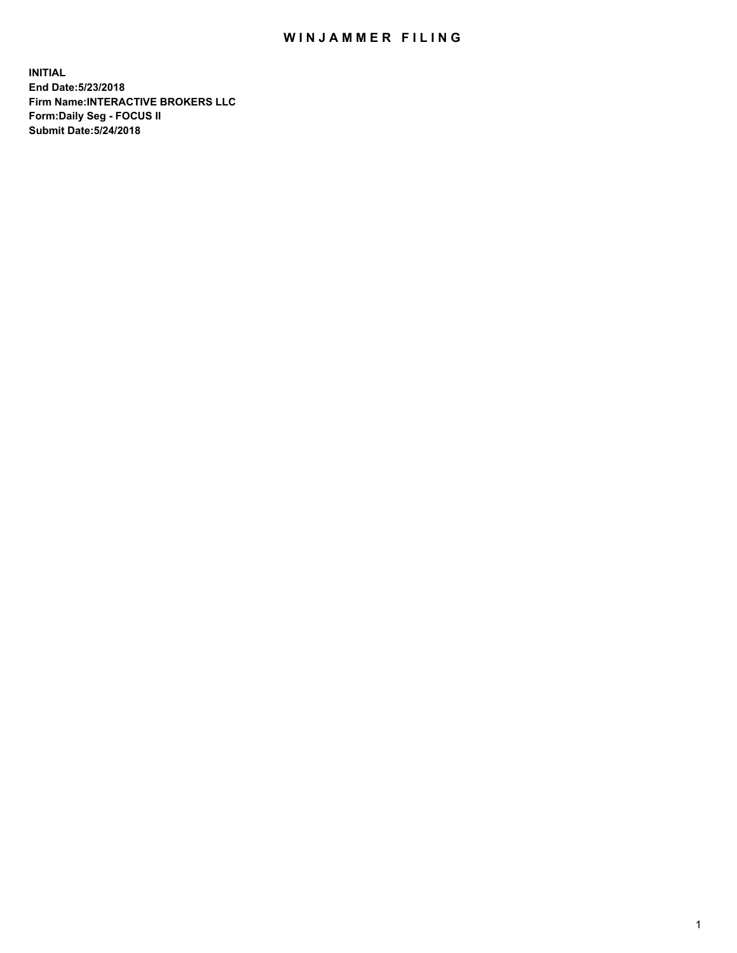## WIN JAMMER FILING

**INITIAL End Date:5/23/2018 Firm Name:INTERACTIVE BROKERS LLC Form:Daily Seg - FOCUS II Submit Date:5/24/2018**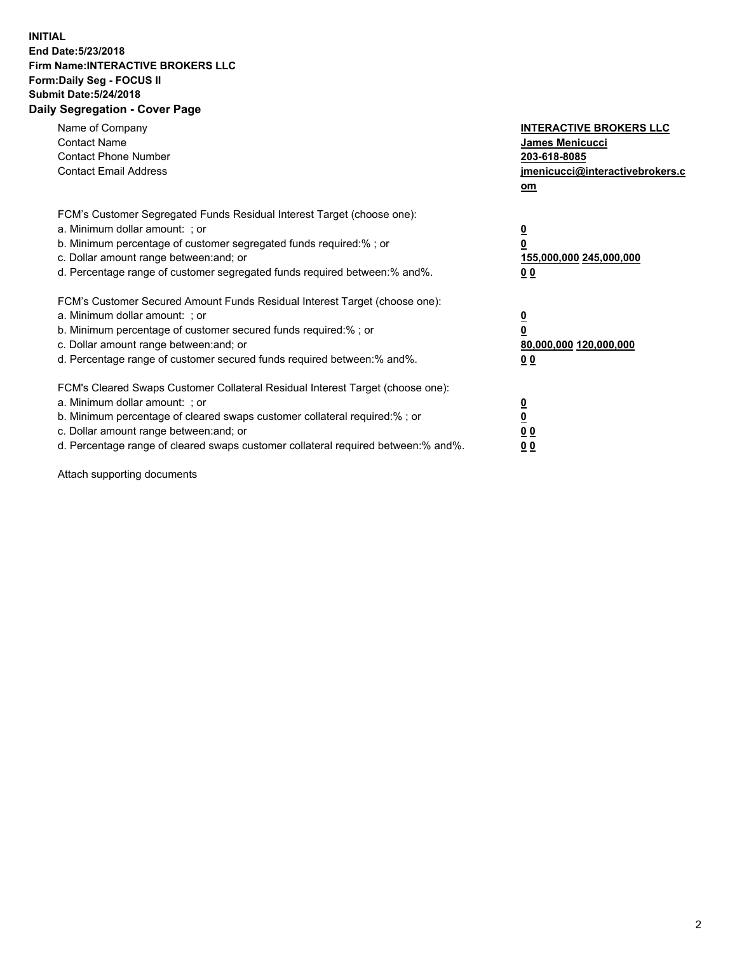## **INITIAL End Date:5/23/2018 Firm Name:INTERACTIVE BROKERS LLC Form:Daily Seg - FOCUS II Submit Date:5/24/2018 Daily Segregation - Cover Page**

| Name of Company<br><b>Contact Name</b><br><b>Contact Phone Number</b><br><b>Contact Email Address</b>                                                                                                                                                                                                                          | <b>INTERACTIVE BROKERS LLC</b><br>James Menicucci<br>203-618-8085<br>jmenicucci@interactivebrokers.c<br>om |
|--------------------------------------------------------------------------------------------------------------------------------------------------------------------------------------------------------------------------------------------------------------------------------------------------------------------------------|------------------------------------------------------------------------------------------------------------|
| FCM's Customer Segregated Funds Residual Interest Target (choose one):<br>a. Minimum dollar amount: ; or<br>b. Minimum percentage of customer segregated funds required:%; or<br>c. Dollar amount range between: and; or<br>d. Percentage range of customer segregated funds required between:% and%.                          | $\overline{\mathbf{0}}$<br>0<br>155,000,000 245,000,000<br>0 <sub>0</sub>                                  |
| FCM's Customer Secured Amount Funds Residual Interest Target (choose one):<br>a. Minimum dollar amount: ; or<br>b. Minimum percentage of customer secured funds required:%; or<br>c. Dollar amount range between: and; or<br>d. Percentage range of customer secured funds required between:% and%.                            | $\overline{\mathbf{0}}$<br>$\overline{\mathbf{0}}$<br>80,000,000 120,000,000<br>00                         |
| FCM's Cleared Swaps Customer Collateral Residual Interest Target (choose one):<br>a. Minimum dollar amount: ; or<br>b. Minimum percentage of cleared swaps customer collateral required:% ; or<br>c. Dollar amount range between: and; or<br>d. Percentage range of cleared swaps customer collateral required between:% and%. | $\overline{\mathbf{0}}$<br>$\overline{\mathbf{0}}$<br>0 <sub>0</sub><br><u>00</u>                          |

Attach supporting documents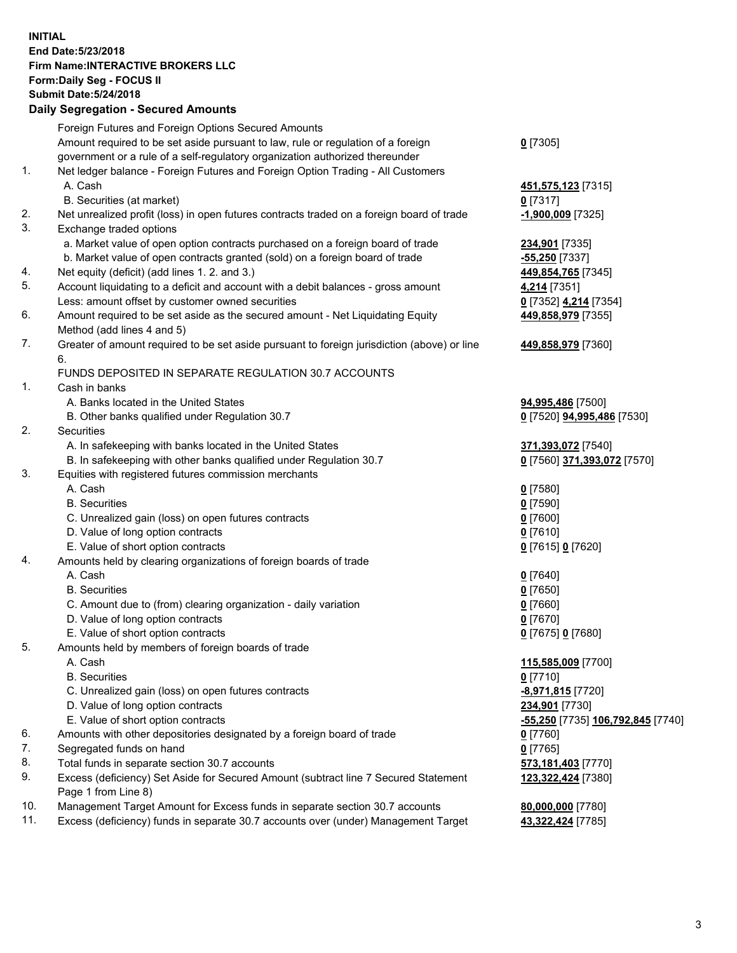## **INITIAL End Date:5/23/2018 Firm Name:INTERACTIVE BROKERS LLC Form:Daily Seg - FOCUS II Submit Date:5/24/2018 Daily Segregation - Secured Amounts**

|                | Daily Segregation - Secured Amounts                                                                        |                                   |
|----------------|------------------------------------------------------------------------------------------------------------|-----------------------------------|
|                | Foreign Futures and Foreign Options Secured Amounts                                                        |                                   |
|                | Amount required to be set aside pursuant to law, rule or regulation of a foreign                           | $0$ [7305]                        |
|                | government or a rule of a self-regulatory organization authorized thereunder                               |                                   |
| $\mathbf{1}$ . | Net ledger balance - Foreign Futures and Foreign Option Trading - All Customers                            |                                   |
|                | A. Cash                                                                                                    | 451,575,123 [7315]                |
|                | B. Securities (at market)                                                                                  | $Q$ [7317]                        |
| 2.             | Net unrealized profit (loss) in open futures contracts traded on a foreign board of trade                  | $-1,900,009$ [7325]               |
| 3.             | Exchange traded options                                                                                    |                                   |
|                | a. Market value of open option contracts purchased on a foreign board of trade                             | 234,901 [7335]                    |
|                | b. Market value of open contracts granted (sold) on a foreign board of trade                               | $-55,250$ [7337]                  |
| 4.             | Net equity (deficit) (add lines 1.2. and 3.)                                                               | 449,854,765 [7345]                |
| 5.             | Account liquidating to a deficit and account with a debit balances - gross amount                          | 4,214 [7351]                      |
|                | Less: amount offset by customer owned securities                                                           | 0 [7352] 4,214 [7354]             |
| 6.             | Amount required to be set aside as the secured amount - Net Liquidating Equity                             | 449,858,979 [7355]                |
|                | Method (add lines 4 and 5)                                                                                 |                                   |
| 7.             | Greater of amount required to be set aside pursuant to foreign jurisdiction (above) or line                | 449,858,979 [7360]                |
|                | 6.                                                                                                         |                                   |
|                | FUNDS DEPOSITED IN SEPARATE REGULATION 30.7 ACCOUNTS                                                       |                                   |
| 1.             | Cash in banks                                                                                              |                                   |
|                | A. Banks located in the United States                                                                      | 94,995,486 [7500]                 |
|                | B. Other banks qualified under Regulation 30.7                                                             | 0 [7520] 94,995,486 [7530]        |
| 2.             | Securities                                                                                                 |                                   |
|                | A. In safekeeping with banks located in the United States                                                  | 371,393,072 [7540]                |
|                | B. In safekeeping with other banks qualified under Regulation 30.7                                         | 0 [7560] 371,393,072 [7570]       |
| 3.             | Equities with registered futures commission merchants                                                      |                                   |
|                | A. Cash                                                                                                    | $0$ [7580]                        |
|                | <b>B.</b> Securities                                                                                       | $0$ [7590]                        |
|                | C. Unrealized gain (loss) on open futures contracts                                                        | $0$ [7600]                        |
|                | D. Value of long option contracts                                                                          | $0$ [7610]                        |
|                | E. Value of short option contracts                                                                         | 0 [7615] 0 [7620]                 |
| 4.             | Amounts held by clearing organizations of foreign boards of trade                                          |                                   |
|                | A. Cash                                                                                                    | $0$ [7640]                        |
|                | <b>B.</b> Securities                                                                                       | $0$ [7650]                        |
|                | C. Amount due to (from) clearing organization - daily variation                                            | $0$ [7660]                        |
|                | D. Value of long option contracts                                                                          | $0$ [7670]                        |
|                | E. Value of short option contracts                                                                         | 0 [7675] 0 [7680]                 |
| 5.             | Amounts held by members of foreign boards of trade                                                         |                                   |
|                | A. Cash                                                                                                    | 115,585,009 [7700]                |
|                | <b>B.</b> Securities                                                                                       | $0$ [7710]                        |
|                | C. Unrealized gain (loss) on open futures contracts                                                        | -8,971,815 [7720]                 |
|                | D. Value of long option contracts                                                                          | 234,901 [7730]                    |
|                | E. Value of short option contracts                                                                         | -55,250 [7735] 106,792,845 [7740] |
| 6.             | Amounts with other depositories designated by a foreign board of trade                                     | $0$ [7760]                        |
| 7.             | Segregated funds on hand                                                                                   | $0$ [7765]                        |
| 8.             | Total funds in separate section 30.7 accounts                                                              | 573,181,403 [7770]                |
| 9.             | Excess (deficiency) Set Aside for Secured Amount (subtract line 7 Secured Statement<br>Page 1 from Line 8) | 123,322,424 [7380]                |
| 10.            | Management Target Amount for Excess funds in separate section 30.7 accounts                                | 80,000,000 [7780]                 |
| 11.            | Excess (deficiency) funds in separate 30.7 accounts over (under) Management Target                         | 43,322,424 [7785]                 |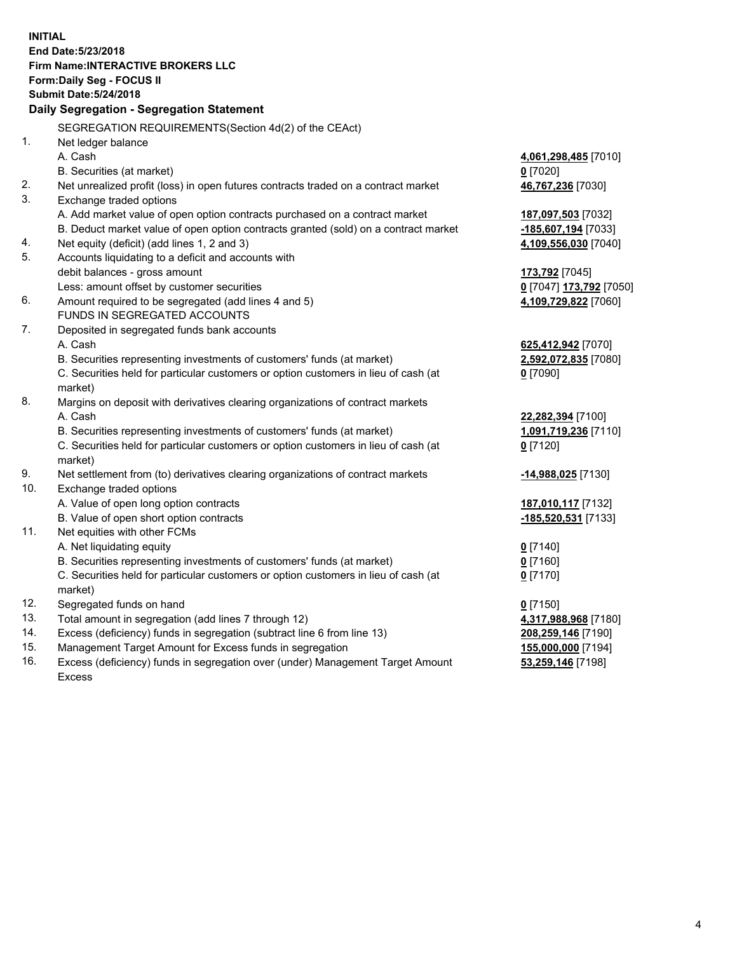**INITIAL End Date:5/23/2018 Firm Name:INTERACTIVE BROKERS LLC Form:Daily Seg - FOCUS II Submit Date:5/24/2018 Daily Segregation - Segregation Statement** SEGREGATION REQUIREMENTS(Section 4d(2) of the CEAct) 1. Net ledger balance A. Cash **4,061,298,485** [7010] B. Securities (at market) **0** [7020] 2. Net unrealized profit (loss) in open futures contracts traded on a contract market **46,767,236** [7030] 3. Exchange traded options A. Add market value of open option contracts purchased on a contract market **187,097,503** [7032] B. Deduct market value of open option contracts granted (sold) on a contract market **-185,607,194** [7033] 4. Net equity (deficit) (add lines 1, 2 and 3) **4,109,556,030** [7040] 5. Accounts liquidating to a deficit and accounts with debit balances - gross amount **173,792** [7045] Less: amount offset by customer securities **0** [7047] **173,792** [7050] 6. Amount required to be segregated (add lines 4 and 5) **4,109,729,822** [7060] FUNDS IN SEGREGATED ACCOUNTS 7. Deposited in segregated funds bank accounts A. Cash **625,412,942** [7070] B. Securities representing investments of customers' funds (at market) **2,592,072,835** [7080] C. Securities held for particular customers or option customers in lieu of cash (at market) **0** [7090] 8. Margins on deposit with derivatives clearing organizations of contract markets A. Cash **22,282,394** [7100] B. Securities representing investments of customers' funds (at market) **1,091,719,236** [7110] C. Securities held for particular customers or option customers in lieu of cash (at market) **0** [7120] 9. Net settlement from (to) derivatives clearing organizations of contract markets **-14,988,025** [7130] 10. Exchange traded options A. Value of open long option contracts **187,010,117** [7132] B. Value of open short option contracts **-185,520,531** [7133] 11. Net equities with other FCMs A. Net liquidating equity **0** [7140] B. Securities representing investments of customers' funds (at market) **0** [7160] C. Securities held for particular customers or option customers in lieu of cash (at market) **0** [7170] 12. Segregated funds on hand **0** [7150] 13. Total amount in segregation (add lines 7 through 12) **4,317,988,968** [7180] 14. Excess (deficiency) funds in segregation (subtract line 6 from line 13) **208,259,146** [7190] 15. Management Target Amount for Excess funds in segregation **155,000,000** [7194] **53,259,146** [7198]

16. Excess (deficiency) funds in segregation over (under) Management Target Amount Excess